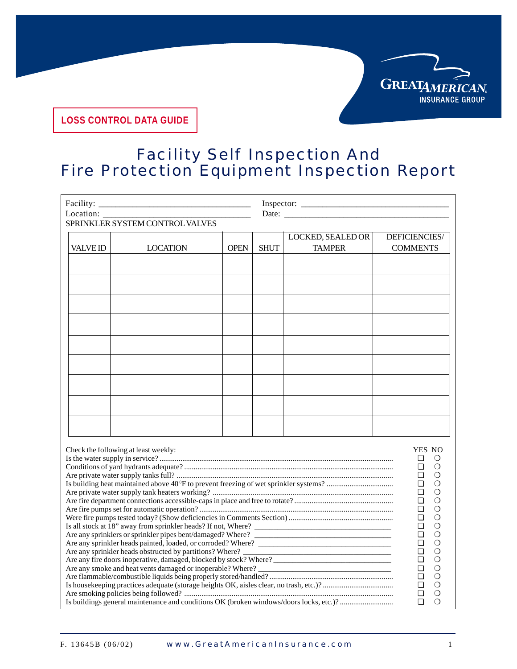

**LOSS CONTROL DATA GUIDE**

## Facility Self Inspection And Fire Protection Equipment Inspection Report

|                                                                                                                               | $\begin{array}{c}\n\text{Facility:}\n\\ \hline\n\text{L oction:}\n\end{array}$<br>Location:<br>SPRINKLER SYSTEM CONTROL VALVES |             |             |                          |                                 |  |  |  |
|-------------------------------------------------------------------------------------------------------------------------------|--------------------------------------------------------------------------------------------------------------------------------|-------------|-------------|--------------------------|---------------------------------|--|--|--|
|                                                                                                                               |                                                                                                                                |             |             | <b>LOCKED, SEALED OR</b> | <b>DEFICIENCIES/</b>            |  |  |  |
| <b>VALVE ID</b>                                                                                                               | <b>LOCATION</b>                                                                                                                | <b>OPEN</b> | <b>SHUT</b> | <b>TAMPER</b>            | <b>COMMENTS</b>                 |  |  |  |
|                                                                                                                               |                                                                                                                                |             |             |                          |                                 |  |  |  |
|                                                                                                                               |                                                                                                                                |             |             |                          |                                 |  |  |  |
|                                                                                                                               |                                                                                                                                |             |             |                          |                                 |  |  |  |
|                                                                                                                               |                                                                                                                                |             |             |                          |                                 |  |  |  |
|                                                                                                                               |                                                                                                                                |             |             |                          |                                 |  |  |  |
|                                                                                                                               |                                                                                                                                |             |             |                          |                                 |  |  |  |
|                                                                                                                               |                                                                                                                                |             |             |                          |                                 |  |  |  |
|                                                                                                                               |                                                                                                                                |             |             |                          |                                 |  |  |  |
|                                                                                                                               |                                                                                                                                |             |             |                          |                                 |  |  |  |
|                                                                                                                               |                                                                                                                                |             |             |                          |                                 |  |  |  |
|                                                                                                                               |                                                                                                                                |             |             |                          |                                 |  |  |  |
|                                                                                                                               |                                                                                                                                |             |             |                          |                                 |  |  |  |
|                                                                                                                               |                                                                                                                                |             |             |                          |                                 |  |  |  |
|                                                                                                                               |                                                                                                                                |             |             |                          |                                 |  |  |  |
|                                                                                                                               |                                                                                                                                |             |             |                          |                                 |  |  |  |
|                                                                                                                               |                                                                                                                                |             |             |                          |                                 |  |  |  |
|                                                                                                                               |                                                                                                                                |             |             |                          |                                 |  |  |  |
|                                                                                                                               |                                                                                                                                |             |             |                          |                                 |  |  |  |
|                                                                                                                               |                                                                                                                                |             |             |                          |                                 |  |  |  |
|                                                                                                                               |                                                                                                                                |             |             |                          |                                 |  |  |  |
|                                                                                                                               |                                                                                                                                |             |             |                          |                                 |  |  |  |
|                                                                                                                               | Check the following at least weekly:                                                                                           |             |             |                          | YES NO<br>❏<br>$\bigcirc$       |  |  |  |
|                                                                                                                               |                                                                                                                                |             |             |                          | ▫<br>∩                          |  |  |  |
|                                                                                                                               |                                                                                                                                |             |             |                          | ❏<br>$\bigcirc$                 |  |  |  |
|                                                                                                                               |                                                                                                                                |             |             |                          |                                 |  |  |  |
|                                                                                                                               |                                                                                                                                |             |             |                          | $\circ$<br>❏                    |  |  |  |
|                                                                                                                               |                                                                                                                                |             |             |                          | ❏<br>◯                          |  |  |  |
|                                                                                                                               |                                                                                                                                |             |             |                          | $\bigcirc$<br>❏                 |  |  |  |
|                                                                                                                               |                                                                                                                                |             |             |                          | ❏<br>$\bigcirc$                 |  |  |  |
|                                                                                                                               |                                                                                                                                |             |             |                          | ❏<br>$\bigcirc$<br>❏<br>$\circ$ |  |  |  |
|                                                                                                                               |                                                                                                                                |             |             |                          |                                 |  |  |  |
|                                                                                                                               |                                                                                                                                |             |             |                          |                                 |  |  |  |
| Are any sprinkler heads obstructed by partitions? Where?<br>Are any fire doors inoperative, damaged, blocked by stock? Where? |                                                                                                                                |             |             |                          |                                 |  |  |  |
|                                                                                                                               |                                                                                                                                |             |             |                          |                                 |  |  |  |
| ❏<br>$\bigcirc$<br>❏<br>$\bigcirc$                                                                                            |                                                                                                                                |             |             |                          |                                 |  |  |  |
| ◘<br>$\bigcirc$                                                                                                               |                                                                                                                                |             |             |                          |                                 |  |  |  |
|                                                                                                                               |                                                                                                                                |             |             |                          | ❏<br>◯<br>$\Box$<br>$\Omega$    |  |  |  |
|                                                                                                                               |                                                                                                                                |             |             |                          |                                 |  |  |  |